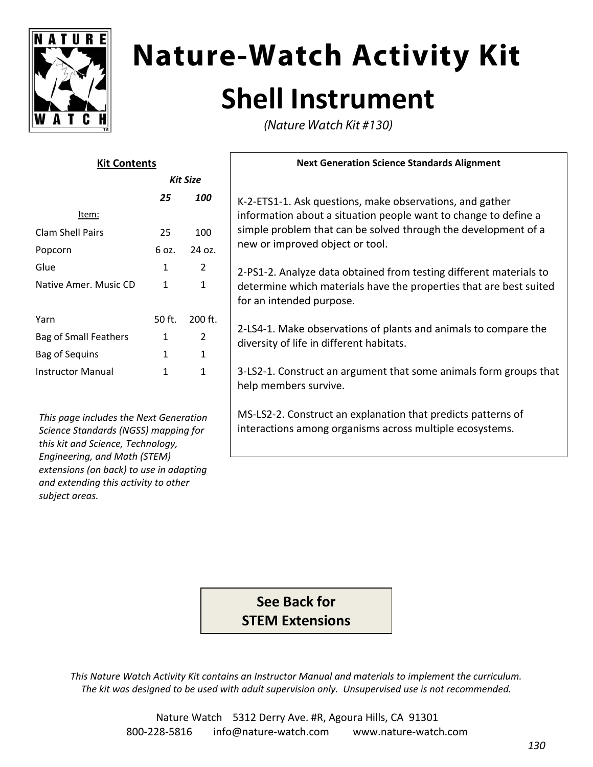

*subject areas.*

*extensions (on back) to use in adapting and extending this activity to other*

# **Nature-Watch Activity Kit Shell Instrument**

(Nature Watch Kit #130)

| <b>Kit Contents</b>                                                                                                                                 |              |                | <b>Next Generation Science Standards Alignment</b>                                                                                                                   |
|-----------------------------------------------------------------------------------------------------------------------------------------------------|--------------|----------------|----------------------------------------------------------------------------------------------------------------------------------------------------------------------|
| <b>Kit Size</b>                                                                                                                                     |              |                |                                                                                                                                                                      |
|                                                                                                                                                     | 25           | 100            | K-2-ETS1-1. Ask questions, make observations, and gather                                                                                                             |
| Item:                                                                                                                                               |              |                | information about a situation people want to change to define a                                                                                                      |
| <b>Clam Shell Pairs</b>                                                                                                                             | 25           | 100            | simple problem that can be solved through the development of a<br>new or improved object or tool.                                                                    |
| Popcorn                                                                                                                                             | 6 oz.        | 24 oz.         |                                                                                                                                                                      |
| Glue                                                                                                                                                | 1            | $\overline{2}$ | 2-PS1-2. Analyze data obtained from testing different materials to<br>determine which materials have the properties that are best suited<br>for an intended purpose. |
| Native Amer. Music CD                                                                                                                               | 1            | $\mathbf{1}$   |                                                                                                                                                                      |
| Yarn                                                                                                                                                | 50 ft.       | 200 ft.        | 2-LS4-1. Make observations of plants and animals to compare the<br>diversity of life in different habitats.                                                          |
| <b>Bag of Small Feathers</b>                                                                                                                        | 1            | $\overline{2}$ |                                                                                                                                                                      |
| <b>Bag of Sequins</b>                                                                                                                               | $\mathbf{1}$ | $\mathbf{1}$   |                                                                                                                                                                      |
| <b>Instructor Manual</b>                                                                                                                            | 1            | $\mathbf{1}$   | 3-LS2-1. Construct an argument that some animals form groups that<br>help members survive.                                                                           |
| This page includes the Next Generation<br>Science Standards (NGSS) mapping for<br>this kit and Science, Technology,<br>Engineering, and Math (STEM) |              |                | MS-LS2-2. Construct an explanation that predicts patterns of<br>interactions among organisms across multiple ecosystems.                                             |

**See Back for STEM Extensions**

*This Nature Watch Activity Kit contains an Instructor Manual and materials to implement the curriculum. The kit was designed to be used with adult supervision only. Unsupervised use is not recommended.*